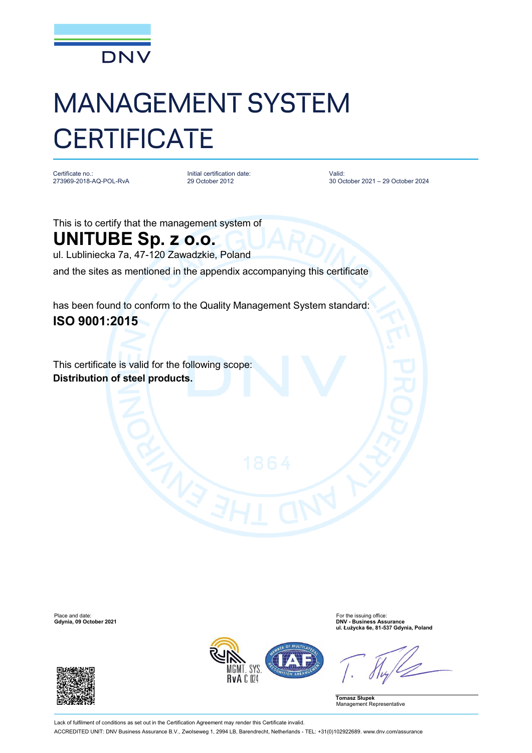

## MANAGEMENT SYSTEM **CERTIFICATE**

Certificate no.: 273969-2018-AQ-POL-RvA Initial certification date: 29 October 2012

Valid: 30 October 2021 – 29 October 2024

This is to certify that the management system of

## **UNITUBE Sp. z o.o.**

ul. Lubliniecka 7a, 47-120 Zawadzkie, Poland

and the sites as mentioned in the appendix accompanying this certificate

has been found to conform to the Quality Management System standard: **ISO 9001:2015**

This certificate is valid for the following scope: **Distribution of steel products.**

**Gdynia, 09 October 2021** 





Place and date:<br> **Place and date:** For the issuing office:<br> **Colornia.** 09 October 2021 **ul. Łużycka 6e, 81-537 Gdynia, Poland**

**Tomasz Słupek** Management Representative

Lack of fulfilment of conditions as set out in the Certification Agreement may render this Certificate invalid. ACCREDITED UNIT: DNV Business Assurance B.V., Zwolseweg 1, 2994 LB, Barendrecht, Netherlands - TEL: +31(0)102922689. [www.dnv.com/assurance](http://www.dnv.com/assurance)